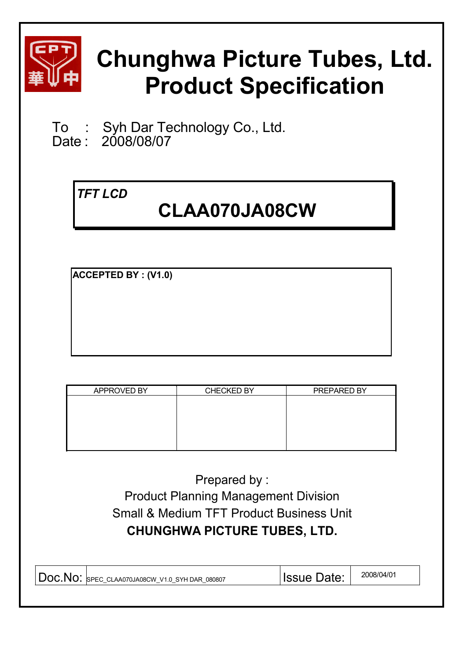

# **Chunghwa Picture Tubes, Ltd. Product Specification**

To : Syh Dar Technology Co., Ltd.<br>Date : 2008/08/07

2008/08/07

## *TFT LCD*

# **CLAA070JA08CW**

**ACCEPTED BY : (V1.0)**

| APPROVED BY | <b>CHECKED BY</b> | PREPARED BY |
|-------------|-------------------|-------------|
|             |                   |             |
|             |                   |             |
|             |                   |             |
|             |                   |             |
|             |                   |             |
|             |                   |             |

Prepared by : Product Planning Management Division Small & Medium TFT Product Business Unit **CHUNGHWA PICTURE TUBES, LTD.**

| Doc.No:<br>SPEC CLAA070JA08CW V1.0 SYHDAR 080807 | Issue Date: | 2008/04/01 |
|--------------------------------------------------|-------------|------------|
|--------------------------------------------------|-------------|------------|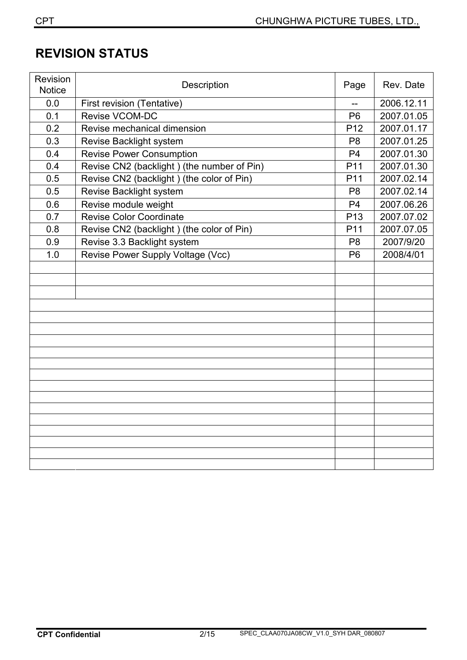## **REVISION STATUS**

| Revision<br><b>Notice</b> | Description                                | Page            | Rev. Date  |
|---------------------------|--------------------------------------------|-----------------|------------|
| 0.0                       | First revision (Tentative)                 |                 | 2006.12.11 |
| 0.1                       | <b>Revise VCOM-DC</b>                      | P <sub>6</sub>  | 2007.01.05 |
| 0.2                       | Revise mechanical dimension                | P <sub>12</sub> | 2007.01.17 |
| 0.3                       | Revise Backlight system                    | P <sub>8</sub>  | 2007.01.25 |
| 0.4                       | <b>Revise Power Consumption</b>            | P <sub>4</sub>  | 2007.01.30 |
| 0.4                       | Revise CN2 (backlight) (the number of Pin) | P11             | 2007.01.30 |
| 0.5                       | Revise CN2 (backlight) (the color of Pin)  | P <sub>11</sub> | 2007.02.14 |
| 0.5                       | Revise Backlight system                    | P <sub>8</sub>  | 2007.02.14 |
| 0.6                       | Revise module weight                       | P <sub>4</sub>  | 2007.06.26 |
| 0.7                       | <b>Revise Color Coordinate</b>             | P <sub>13</sub> | 2007.07.02 |
| 0.8                       | Revise CN2 (backlight) (the color of Pin)  | P11             | 2007.07.05 |
| 0.9                       | Revise 3.3 Backlight system                | P <sub>8</sub>  | 2007/9/20  |
| 1.0                       | Revise Power Supply Voltage (Vcc)          | P <sub>6</sub>  | 2008/4/01  |
|                           |                                            |                 |            |
|                           |                                            |                 |            |
|                           |                                            |                 |            |
|                           |                                            |                 |            |
|                           |                                            |                 |            |
|                           |                                            |                 |            |
|                           |                                            |                 |            |
|                           |                                            |                 |            |
|                           |                                            |                 |            |
|                           |                                            |                 |            |
|                           |                                            |                 |            |
|                           |                                            |                 |            |
|                           |                                            |                 |            |
|                           |                                            |                 |            |
|                           |                                            |                 |            |
|                           |                                            |                 |            |
|                           |                                            |                 |            |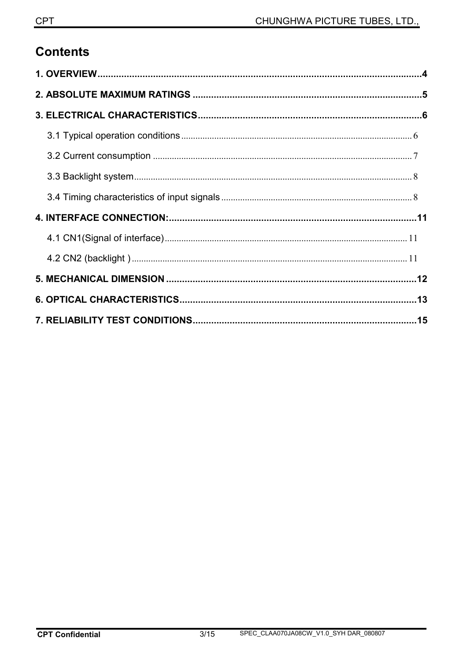## **Contents**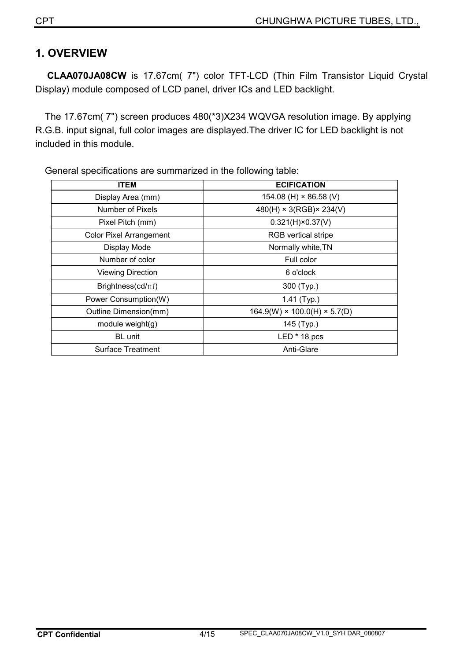### **1. OVERVIEW**

**CLAA070JA08CW** is 17.67cm( 7") color TFT-LCD (Thin Film Transistor Liquid Crystal Display) module composed of LCD panel, driver ICs and LED backlight.

The 17.67cm( 7") screen produces 480(\*3)X234 WQVGA resolution image. By applying R.G.B. input signal, full color images are displayed.The driver IC for LED backlight is not included in this module.

| ITEM                           | <b>ECIFICATION</b>                       |  |  |  |
|--------------------------------|------------------------------------------|--|--|--|
| Display Area (mm)              | 154.08 (H) $\times$ 86.58 (V)            |  |  |  |
| Number of Pixels               | $480(H) \times 3(RGB) \times 234(V)$     |  |  |  |
| Pixel Pitch (mm)               | $0.321(H) \times 0.37(V)$                |  |  |  |
| <b>Color Pixel Arrangement</b> | <b>RGB</b> vertical stripe               |  |  |  |
| Display Mode                   | Normally white, TN                       |  |  |  |
| Number of color                | Full color                               |  |  |  |
| <b>Viewing Direction</b>       | 6 o'clock                                |  |  |  |
| Brightness(cd/ $m^2$ )         | 300 (Typ.)                               |  |  |  |
| Power Consumption(W)           | 1.41 $(Typ.)$                            |  |  |  |
| Outline Dimension(mm)          | $164.9(W) \times 100.0(H) \times 5.7(D)$ |  |  |  |
| module weight $(g)$            | 145 (Typ.)                               |  |  |  |
| BL unit                        | $LED * 18 pcs$                           |  |  |  |
| Surface Treatment              | Anti-Glare                               |  |  |  |

General specifications are summarized in the following table: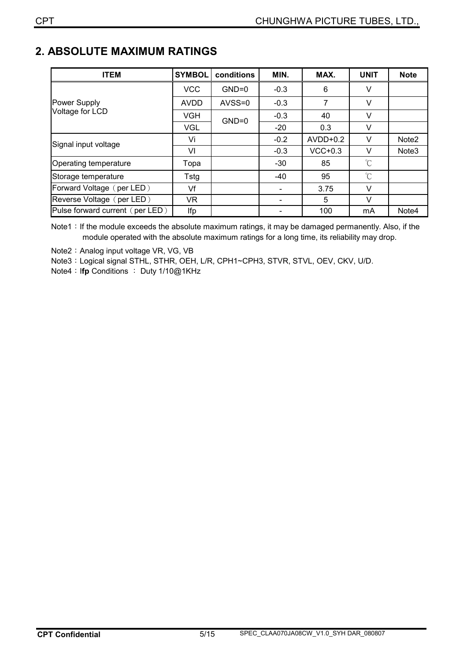## **2. ABSOLUTE MAXIMUM RATINGS**

| <b>ITEM</b>                     | <b>SYMBOL</b> | conditions | MIN.   | MAX.       | <b>UNIT</b> | <b>Note</b>       |
|---------------------------------|---------------|------------|--------|------------|-------------|-------------------|
|                                 | <b>VCC</b>    | $GND=0$    | $-0.3$ | 6          | v           |                   |
| Power Supply                    | <b>AVDD</b>   | $AVSS=0$   | $-0.3$ | 7          | V           |                   |
| Voltage for LCD                 | VGH           | $GND=0$    | $-0.3$ | 40         | V           |                   |
|                                 | <b>VGL</b>    |            | $-20$  | 0.3        | $\vee$      |                   |
| Signal input voltage            | Vi            |            | $-0.2$ | $AVDD+0.2$ | $\vee$      | Note <sub>2</sub> |
|                                 | VI            |            | $-0.3$ | $VCC+0.3$  | V           | Note <sub>3</sub> |
| Operating temperature           | Topa          |            | $-30$  | 85         | $^{\circ}C$ |                   |
| Storage temperature             | Tstg          |            | $-40$  | 95         | $^{\circ}C$ |                   |
| Forward Voltage (per LED)       | Vf            |            |        | 3.75       | $\vee$      |                   |
| Reverse Voltage (per LED)       | VR            |            |        | 5          | $\vee$      |                   |
| Pulse forward current (per LED) | Ifp           |            |        | 100        | mA          | Note4             |

Note1: If the module exceeds the absolute maximum ratings, it may be damaged permanently. Also, if the module operated with the absolute maximum ratings for a long time, its reliability may drop.

Note2: Analog input voltage VR, VG, VB

Note3: Logical signal STHL, STHR, OEH, L/R, CPH1~CPH3, STVR, STVL, OEV, CKV, U/D.

**Note4: Ifp Conditions : Duty 1/10@1KHz**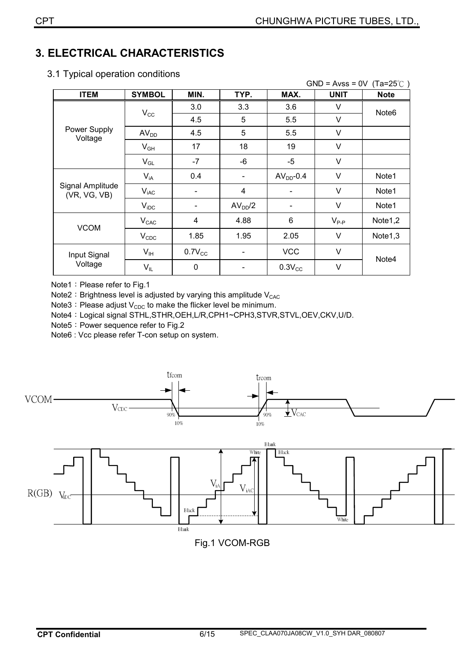## **3. ELECTRICAL CHARACTERISTICS**

|                                  |                  |             |                     |                          | GND = Avss = $0V$ (Ta=25°C) |                     |
|----------------------------------|------------------|-------------|---------------------|--------------------------|-----------------------------|---------------------|
| <b>ITEM</b>                      | <b>SYMBOL</b>    | MIN.        | TYP.                | MAX.                     | <b>UNIT</b>                 | <b>Note</b>         |
|                                  |                  | 3.0         | 3.3                 | 3.6                      | V                           | Note <sub>6</sub>   |
|                                  | $V_{\rm CC}$     | 4.5         | 5                   | 5.5                      | V                           |                     |
| Power Supply<br>Voltage          | AV <sub>DD</sub> | 4.5         | 5                   | 5.5                      | $\vee$                      |                     |
|                                  | $V_{GH}$         | 17          | 18                  | 19                       | V                           |                     |
|                                  | $V_{GL}$         | $-7$        | -6                  | $-5$                     | V                           |                     |
|                                  | $V_{iA}$         | 0.4         |                     | $AVDD-0.4$               | V                           | Note1               |
| Signal Amplitude<br>(VR, VG, VB) | $V_{iAC}$        |             | 4                   |                          | V                           | Note1               |
|                                  | $V_{\text{IDC}}$ |             | AV <sub>DD</sub> /2 | $\overline{\phantom{a}}$ | $\vee$                      | Note1               |
| <b>VCOM</b>                      | $V_{CAC}$        | 4           | 4.88                | 6                        | $V_{P-P}$                   | Note <sub>1,2</sub> |
|                                  | $V_{CDC}$        | 1.85        | 1.95                | 2.05                     | V                           | Note <sub>1,3</sub> |
| Input Signal                     | $V_{\text{IH}}$  | $0.7V_{CC}$ |                     | <b>VCC</b>               | V                           |                     |
| Voltage                          | $V_{IL}$         | $\mathbf 0$ |                     | $0.3V_{CC}$              | $\vee$                      | Note4               |
|                                  |                  |             |                     |                          |                             |                     |

3.1 Typical operation conditions

Note1: Please refer to Fig.1

Note2: Brightness level is adjusted by varying this amplitude  $V_{CAC}$ 

Note3 : Please adjust  $V_{CDC}$  to make the flicker level be minimum.

Note4: Logical signal STHL,STHR,OEH,L/R,CPH1~CPH3,STVR,STVL,OEV,CKV,U/D.

Note5: Power sequence refer to Fig.2

Note6 : Vcc please refer T-con setup on system.



Fig.1 VCOM-RGB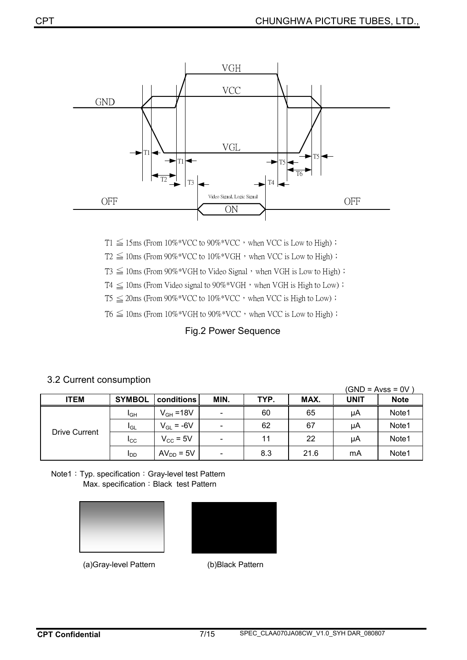

 $T1 \leq 15$ ms (From  $10\%$ <sup>\*</sup>VCC to  $90\%$ <sup>\*</sup>VCC</sub>, when VCC is Low to High) ;

 $T2 \leq 10$ ms (From 90%\*VCC to  $10\%$ \*VGH, when VCC is Low to High) ;

 $T3 \leq 10$ ms (From 90%\*VGH to Video Signal  $\cdot$  when VGH is Low to High)  $\cdot$ 

 $T4 \leq 10$ ms (From Video signal to 90%\*VGH, when VGH is High to Low) ;

 $T5 \leq 20$ ms (From  $90\%^*VCC$  to  $10\%^*VCC$ , when VCC is High to Low) ;

 $T6 \leq 10$ ms (From  $10\%$ <sup>\*</sup>VGH to  $90\%$ <sup>\*</sup>VCC</sub>, when VCC is Low to High) ;

#### Fig.2 Power Sequence

## 3.2 Current consumption (GND = Avss = 0V )

| ITEM                 | <b>SYMBOL</b>          | conditions     | MIN.                     | TYP. | MAX. | <b>UNIT</b> | <b>Note</b> |
|----------------------|------------------------|----------------|--------------------------|------|------|-------------|-------------|
| <b>Drive Current</b> | <b>I</b> GH            | $V_{GH} = 18V$ | $\overline{\phantom{a}}$ | 60   | 65   | μA          | Note1       |
|                      | <b>I</b> GL            | $V_{GL} = -6V$ | $\overline{\phantom{a}}$ | 62   | 67   | μA          | Note1       |
|                      | $_{\rm{ICC}}$          | $V_{CC}$ = 5V  | $\overline{\phantom{a}}$ | 11   | 22   | μA          | Note1       |
|                      | <b>I</b> <sub>DD</sub> | $AV_{DD} = 5V$ | $\overline{\phantom{a}}$ | 8.3  | 21.6 | mA          | Note1       |

Note1: Typ. specification: Gray-level test Pattern Max. specification: Black test Pattern





ʳʳʳʳʳʳʳʳʳʳʳʳʳʳʳʳʳʳʳʳʳʳʳ(a)Gray-level Pattern (b)Black Pattern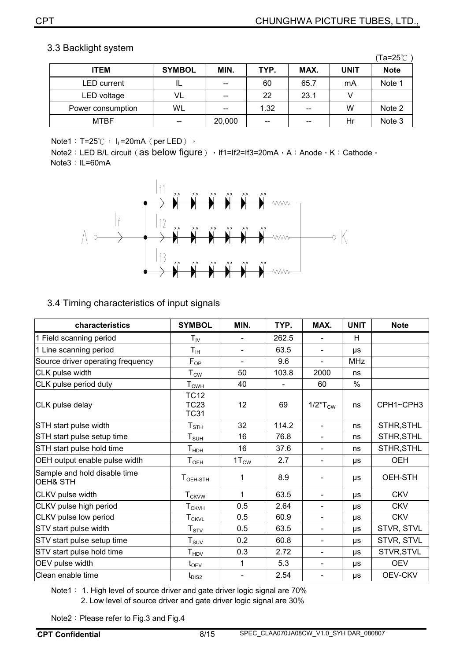#### 3.3 Backlight system

|                    |               |        |                                       |       |             | (Ta=25℃ i   |
|--------------------|---------------|--------|---------------------------------------|-------|-------------|-------------|
| <b>ITEM</b>        | <b>SYMBOL</b> | MIN.   | TYP.                                  | MAX.  | <b>UNIT</b> | <b>Note</b> |
| <b>LED</b> current | ᄔ             | $- -$  | 60                                    | 65.7  | mA          | Note 1      |
| LED voltage        | VL            | $- -$  | 22                                    | 23.1  |             |             |
| Power consumption  | WL            | $- -$  | 1.32                                  | $- -$ | W           | Note 2      |
| <b>MTBF</b>        | $- -$         | 20,000 | $\hspace{0.05cm}$ – $\hspace{0.05cm}$ | $- -$ | Hr          | Note 3      |

Note1: T=25°C, I<sub>L</sub>=20mA (per LED) ∘

Note2: LED B/L circuit (as below figure) › If1=If2=If3=20mA › A: Anode › K: Cathode · Note3: IL=60mA



#### 3.4 Timing characteristics of input signals

| characteristics                          | <b>SYMBOL</b>                                 | MIN.                     | TYP.  | MAX.                               | <b>UNIT</b>   | <b>Note</b>    |
|------------------------------------------|-----------------------------------------------|--------------------------|-------|------------------------------------|---------------|----------------|
| 1 Field scanning period                  | ${\sf T}_{\sf IV}$                            |                          | 262.5 | $\blacksquare$                     | H             |                |
| 1 Line scanning period                   | $\mathsf{T}_{\mathsf{IH}}$                    | $\overline{\phantom{a}}$ | 63.5  | $\blacksquare$                     | <b>US</b>     |                |
| Source driver operating frequency        | $F_{OP}$                                      |                          | 9.6   | $\blacksquare$                     | <b>MHz</b>    |                |
| CLK pulse width                          | $T_{CW_2}$                                    | 50                       | 103.8 | 2000                               | ns            |                |
| CLK pulse period duty                    | $T_{\mathsf{CWH}}$                            | 40                       |       | 60                                 | $\frac{0}{0}$ |                |
| CLK pulse delay                          | <b>TC12</b><br><b>TC23</b><br><b>TC31</b>     | 12                       | 69    | $1/2$ <sup>*</sup> $T_{\text{CW}}$ | ns            | CPH1~CPH3      |
| STH start pulse width                    | $T_{\scriptstyle\text{STH}}$                  | 32                       | 114.2 | $\blacksquare$                     | ns            | STHR, STHL     |
| STH start pulse setup time               | $T_{\texttt{SUL}}$                            | 16                       | 76.8  | $\overline{\phantom{a}}$           | ns            | STHR, STHL     |
| STH start pulse hold time                | $\mathsf{T}_{\mathsf{H}\mathsf{D}\mathsf{H}}$ | 16                       | 37.6  | $\overline{\phantom{a}}$           | ns            | STHR, STHL     |
| OEH output enable pulse width            | $T_{OEH}$                                     | $1T_{\text{CW}}$         | 2.7   | $\blacksquare$                     | μs            | <b>OEH</b>     |
| Sample and hold disable time<br>OEH& STH | $TOEH-STH$                                    | 1                        | 8.9   | $\overline{\phantom{a}}$           | μs            | OEH-STH        |
| CLKV pulse width                         | <b>T<sub>CKVW</sub></b>                       | 1                        | 63.5  | $\overline{\phantom{a}}$           | μs            | <b>CKV</b>     |
| CLKV pulse high period                   | ${\mathsf T}_{\mathsf{CKVH}}$                 | 0.5                      | 2.64  | $\blacksquare$                     | μs            | <b>CKV</b>     |
| CLKV pulse low period                    | <b>T</b> <sub>CKVL</sub>                      | 0.5                      | 60.9  | $\blacksquare$                     | μs            | <b>CKV</b>     |
| STV start pulse width                    | ${\sf T}_{\sf STV}$                           | 0.5                      | 63.5  | $\overline{\phantom{a}}$           | μs            | STVR, STVL     |
| STV start pulse setup time               | ${\sf T}_{\sf SUV}$                           | 0.2                      | 60.8  | $\blacksquare$                     | μs            | STVR, STVL     |
| STV start pulse hold time                | $\mathsf{T}_{\mathsf{HDV}}$                   | 0.3                      | 2.72  | $\overline{\phantom{a}}$           | μs            | STVR, STVL     |
| OEV pulse width                          | $t_{\rm OEV}$                                 | 1                        | 5.3   | $\blacksquare$                     | $\mu s$       | <b>OEV</b>     |
| Clean enable time                        | $t_{\tiny\textrm{DIS2}}$                      |                          | 2.54  | $\overline{\phantom{a}}$           | μs            | <b>OEV-CKV</b> |

Note1: 1. High level of source driver and gate driver logic signal are 70% 2. Low level of source driver and gate driver logic signal are 30%

Note2: Please refer to Fig.3 and Fig.4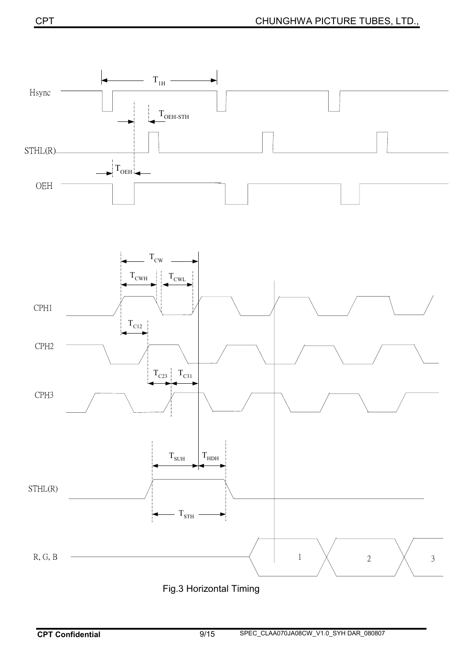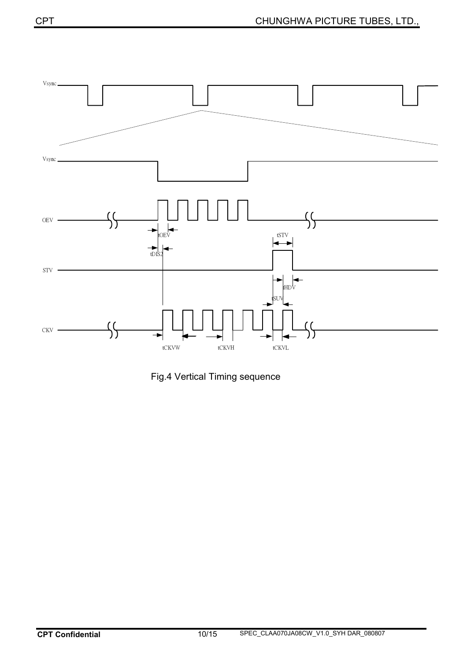

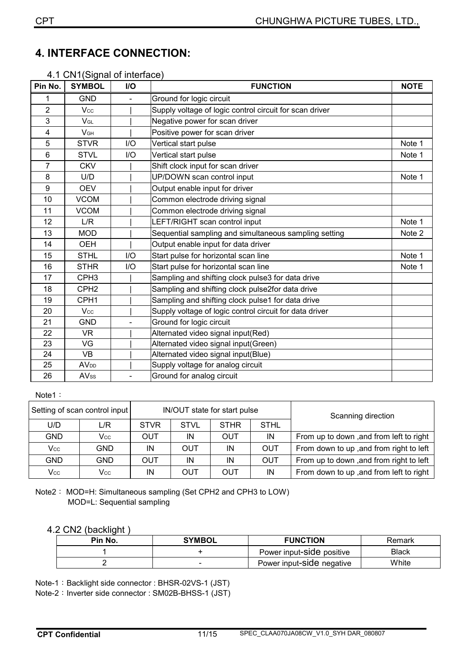## **4.**ʳ**INTERFACE CONNECTION:**

#### 4.1 CN1(Signal of interface)

| Pin No.        | <b>SYMBOL</b>          | I/O | <b>FUNCTION</b>                                         | <b>NOTE</b> |
|----------------|------------------------|-----|---------------------------------------------------------|-------------|
| 1              | <b>GND</b>             |     | Ground for logic circuit                                |             |
| $\overline{2}$ | Vcc                    |     | Supply voltage of logic control circuit for scan driver |             |
| 3              | VGL                    |     | Negative power for scan driver                          |             |
| 4              | V <sub>GH</sub>        |     | Positive power for scan driver                          |             |
| 5              | <b>STVR</b>            | I/O | Vertical start pulse                                    | Note 1      |
| 6              | <b>STVL</b>            | I/O | Vertical start pulse                                    | Note 1      |
| 7              | <b>CKV</b>             |     | Shift clock input for scan driver                       |             |
| 8              | U/D                    |     | UP/DOWN scan control input                              | Note 1      |
| 9              | <b>OEV</b>             |     | Output enable input for driver                          |             |
| 10             | <b>VCOM</b>            |     | Common electrode driving signal                         |             |
| 11             | <b>VCOM</b>            |     | Common electrode driving signal                         |             |
| 12             | L/R                    |     | LEFT/RIGHT scan control input                           | Note 1      |
| 13             | <b>MOD</b>             |     | Sequential sampling and simultaneous sampling setting   | Note 2      |
| 14             | <b>OEH</b>             |     | Output enable input for data driver                     |             |
| 15             | <b>STHL</b>            | 1/O | Start pulse for horizontal scan line                    | Note 1      |
| 16             | <b>STHR</b>            | I/O | Start pulse for horizontal scan line                    | Note 1      |
| 17             | CPH <sub>3</sub>       |     | Sampling and shifting clock pulse3 for data drive       |             |
| 18             | CPH <sub>2</sub>       |     | Sampling and shifting clock pulse2for data drive        |             |
| 19             | CPH <sub>1</sub>       |     | Sampling and shifting clock pulse1 for data drive       |             |
| 20             | Vcc                    |     | Supply voltage of logic control circuit for data driver |             |
| 21             | <b>GND</b>             |     | Ground for logic circuit                                |             |
| 22             | <b>VR</b>              |     | Alternated video signal input(Red)                      |             |
| 23             | VG                     |     | Alternated video signal input(Green)                    |             |
| 24             | <b>VB</b>              |     | Alternated video signal input(Blue)                     |             |
| 25             | <b>AV<sub>DD</sub></b> |     | Supply voltage for analog circuit                       |             |
| 26             | <b>AVss</b>            |     | Ground for analog circuit                               |             |

#### Note1:

|     | Setting of scan control input |             |             | IN/OUT state for start pulse | Scanning direction |                                         |  |  |
|-----|-------------------------------|-------------|-------------|------------------------------|--------------------|-----------------------------------------|--|--|
| U/D | L/R                           | <b>STVR</b> | <b>STVL</b> | <b>STHR</b>                  | <b>STHL</b>        |                                         |  |  |
| GND | Vcc                           | OUT         | ΙN          | <b>OUT</b>                   | IN                 | From up to down, and from left to right |  |  |
| Vcc | GND.                          | IN          | OUT         | IN                           | <b>OUT</b>         | From down to up, and from right to left |  |  |
| GND | GND.                          | OUT         | IN          | IN                           | <b>OUT</b>         | From up to down, and from right to left |  |  |
| Vcc | Vcc                           | ΙN          | OUT         | OUT                          | IN                 | From down to up, and from left to right |  |  |

Note2: MOD=H: Simultaneous sampling (Set CPH2 and CPH3 to LOW) MOD=L: Sequential sampling

#### 4.2 CN2 (backlight )

| Pin No. | <b>SYMBOL</b>            | <b>FUNCTION</b>           | Remark       |
|---------|--------------------------|---------------------------|--------------|
|         |                          | Power input-Side positive | <b>Black</b> |
|         | $\overline{\phantom{0}}$ | Power input-side negative | White        |

Note-1: Backlight side connector : BHSR-02VS-1 (JST)

Note-2: Inverter side connector : SM02B-BHSS-1 (JST)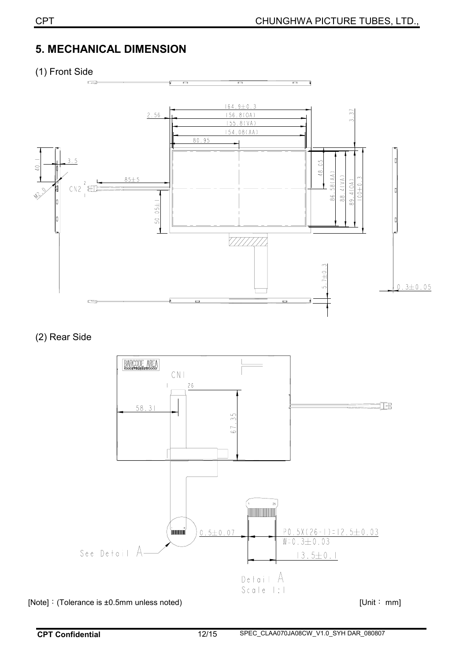## **5.**ʳ**MECHANICAL DIMENSION**

(1) Front Side



(2) Rear Side



[Note]: (Tolerance is ±0.5mm unless noted) [Unit: mm]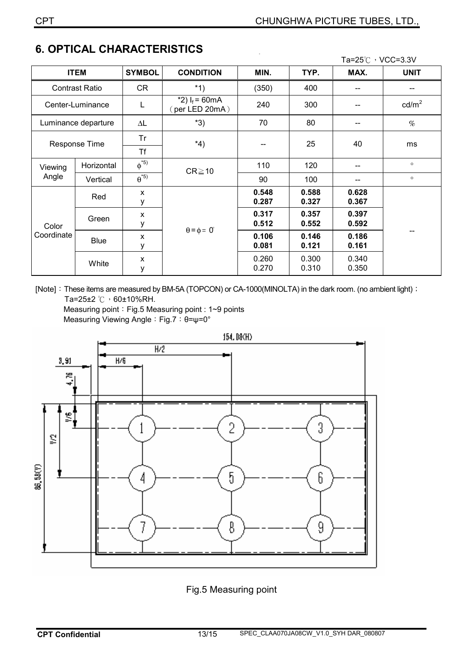|                                    |                       |               |                                             |       |       | Ta=25℃, VCC=3.3V |                 |
|------------------------------------|-----------------------|---------------|---------------------------------------------|-------|-------|------------------|-----------------|
|                                    | <b>ITEM</b>           | <b>SYMBOL</b> | <b>CONDITION</b>                            | MIN.  | TYP.  | MAX.             | <b>UNIT</b>     |
|                                    | <b>Contrast Ratio</b> | <b>CR</b>     | $*1)$                                       | (350) | 400   |                  |                 |
| Center-Luminance                   |                       | L             | *2) $I_f$ = 60mA<br>$(\text{per LED 20mA})$ | 240   | 300   |                  | $\text{cd/m}^2$ |
|                                    | Luminance departure   | ΔL            | $*3)$                                       | 70    | 80    |                  | %               |
| Response Time                      |                       | Tr            | $*_{4}$                                     | --    | 25    | 40               | ms              |
|                                    |                       | Τf            |                                             |       |       |                  |                 |
| Viewing<br>Angle                   | Horizontal            | $\phi^{*5}$   | $CR \ge 10$                                 | 110   | 120   |                  | $\circ$         |
|                                    | Vertical              | $\theta^{*5}$ |                                             | 90    | 100   | --               | $\circ$         |
| Color<br>Coordinate<br><b>Blue</b> | Red                   | X             | $\theta = \phi = 0^{\circ}$                 | 0.548 | 0.588 | 0.628            |                 |
|                                    |                       | у             |                                             | 0.287 | 0.327 | 0.367            |                 |
|                                    | Green                 | X             |                                             | 0.317 | 0.357 | 0.397            | --              |
|                                    |                       | у             |                                             | 0.512 | 0.552 | 0.592            |                 |
|                                    |                       | X             |                                             | 0.106 | 0.146 | 0.186            |                 |
|                                    |                       | у             |                                             | 0.081 | 0.121 | 0.161            |                 |
|                                    | White                 | X             |                                             | 0.260 | 0.300 | 0.340            |                 |
|                                    |                       | у             |                                             | 0.270 | 0.310 | 0.350            |                 |

## **6. OPTICAL CHARACTERISTICS**

[Note]: These items are measured by BM-5A (TOPCON) or CA-1000(MINOLTA) in the dark room. (no ambient light) : Ta=25±2  $\degree$ C  $\degree$  60±10%RH.

Measuring point: Fig.5 Measuring point : 1~9 points Measuring Viewing Angle: Fig.7: θ=ψ=0°



#### Fig.5 Measuring point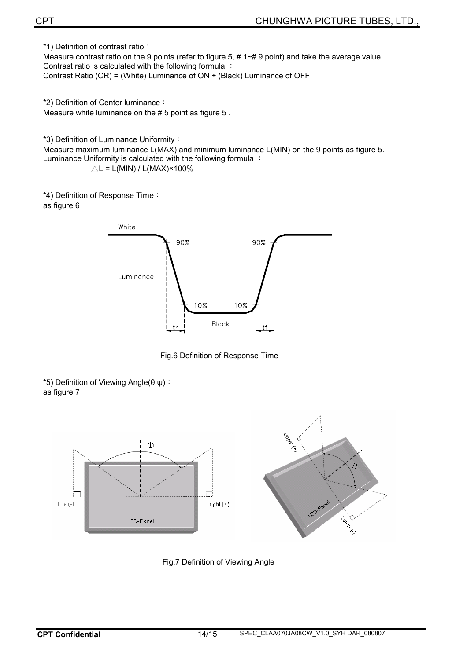\*1) Definition of contrast ratio:

Measure contrast ratio on the 9 points (refer to figure 5, # 1~# 9 point) and take the average value. Contrast ratio is calculated with the following formula : Contrast Ratio (CR) = (White) Luminance of  $ON \div$  (Black) Luminance of OFF

\*2) Definition of Center luminance:

Measure white luminance on the # 5 point as figure 5 .

\*3) Definition of Luminance Uniformity:

Measure maximum luminance L(MAX) and minimum luminance L(MIN) on the 9 points as figure 5. Luminance Uniformity is calculated with the following formula :

 $\triangle L = L(MIN) / L(MAX) \times 100\%$ 

\*4) Definition of Response Time:

as figure 6



Fig.6 Definition of Response Time

 $*5$ ) Definition of Viewing Angle( $\theta,\psi$ ): as figure 7